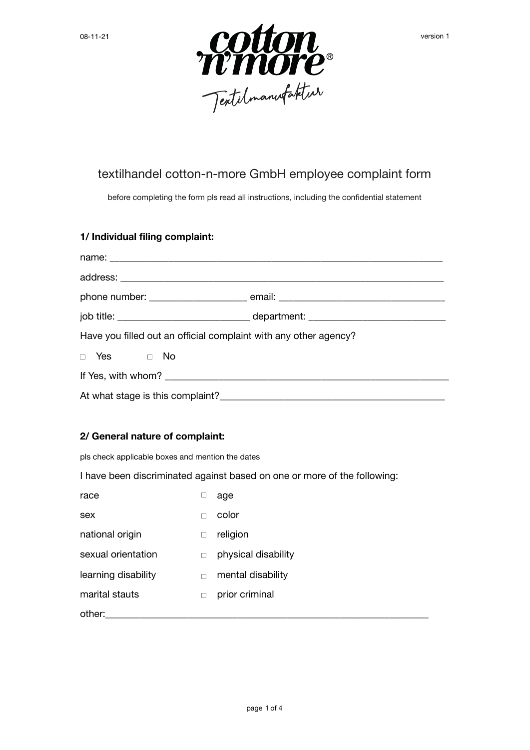

## textilhandel cotton-n-more GmbH employee complaint form

before completing the form pls read all instructions, including the confidential statement

## **1/ Individual filing complaint:**

| Have you filled out an official complaint with any other agency? |  |  |
|------------------------------------------------------------------|--|--|
| $\Box$ Yes $\Box$ No                                             |  |  |
|                                                                  |  |  |
|                                                                  |  |  |

## **2/ General nature of complaint:**

pls check applicable boxes and mention the dates

I have been discriminated against based on one or more of the following:

| race                |        | age                 |
|---------------------|--------|---------------------|
| sex                 | П      | color               |
| national origin     | $\Box$ | religion            |
| sexual orientation  | П      | physical disability |
| learning disability |        | mental disability   |
| marital stauts      |        | prior criminal      |
| other:              |        |                     |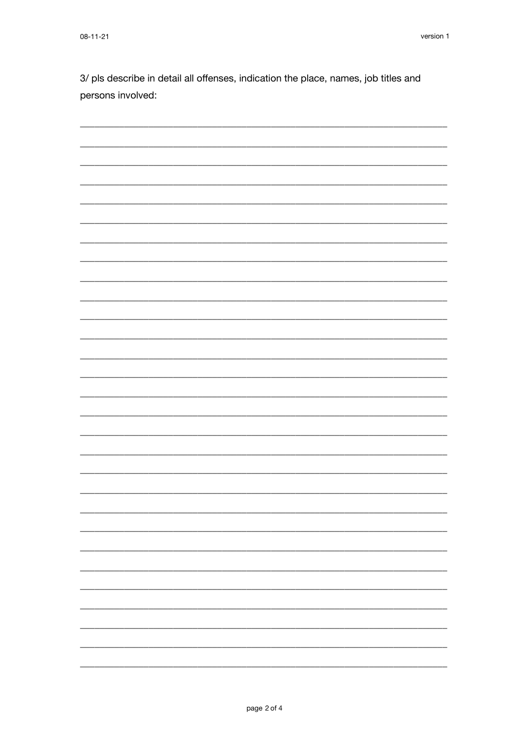3/ pls describe in detail all offenses, indication the place, names, job titles and persons involved:

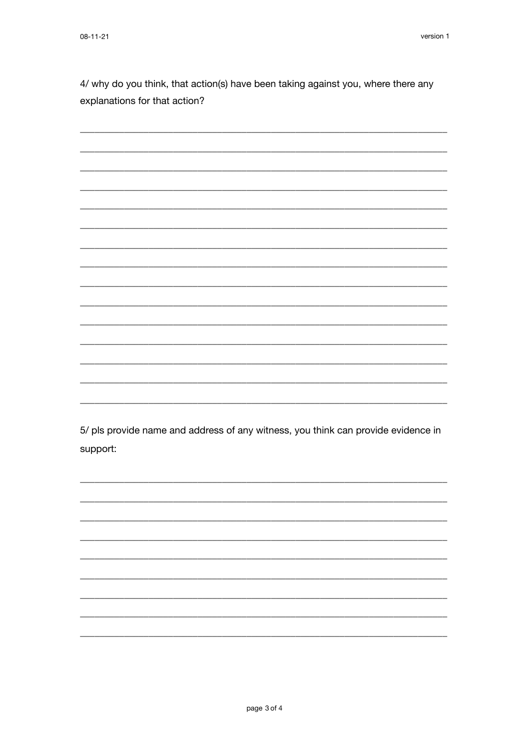4/ why do you think, that action(s) have been taking against you, where there any explanations for that action?

5/ pls provide name and address of any witness, you think can provide evidence in

support: